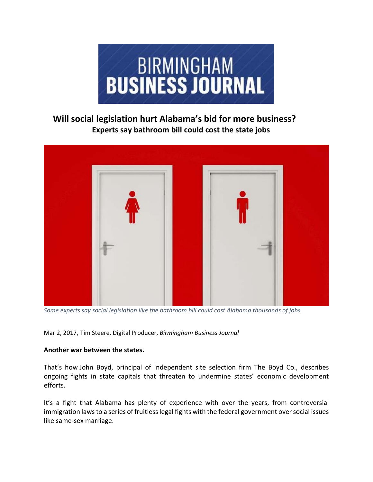

# **Will social legislation hurt Alabama's bid for more business? Experts say bathroom bill could cost the state jobs**



*Some experts say social legislation like the bathroom bill could cost Alabama thousands of jobs.*

Mar 2, 2017, Tim Steere, Digital Producer, *Birmingham Business Journal*

## **Another war between the states.**

That's how John Boyd, principal of independent site selection firm The Boyd Co., describes ongoing fights in state capitals that threaten to undermine states' economic development efforts.

It's a fight that Alabama has plenty of experience with over the years, from controversial immigration laws to a series of fruitless legal fights with the federal government over social issues like same‐sex marriage.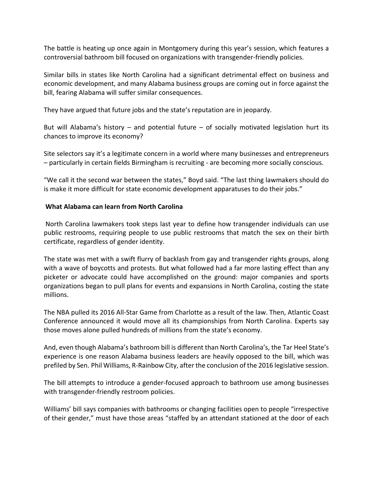The battle is heating up once again in Montgomery during this year's session, which features a controversial bathroom bill focused on organizations with transgender‐friendly policies.

Similar bills in states like North Carolina had a significant detrimental effect on business and economic development, and many Alabama business groups are coming out in force against the bill, fearing Alabama will suffer similar consequences.

They have argued that future jobs and the state's reputation are in jeopardy.

But will Alabama's history  $-$  and potential future  $-$  of socially motivated legislation hurt its chances to improve its economy?

Site selectors say it's a legitimate concern in a world where many businesses and entrepreneurs – particularly in certain fields Birmingham is recruiting ‐ are becoming more socially conscious.

"We call it the second war between the states," Boyd said. "The last thing lawmakers should do is make it more difficult for state economic development apparatuses to do their jobs."

## **What Alabama can learn from North Carolina**

North Carolina lawmakers took steps last year to define how transgender individuals can use public restrooms, requiring people to use public restrooms that match the sex on their birth certificate, regardless of gender identity.

The state was met with a swift flurry of backlash from gay and transgender rights groups, along with a wave of boycotts and protests. But what followed had a far more lasting effect than any picketer or advocate could have accomplished on the ground: major companies and sports organizations began to pull plans for events and expansions in North Carolina, costing the state millions.

The NBA pulled its 2016 All‐Star Game from Charlotte as a result of the law. Then, Atlantic Coast Conference announced it would move all its championships from North Carolina. Experts say those moves alone pulled hundreds of millions from the state's economy.

And, even though Alabama's bathroom bill is different than North Carolina's, the Tar Heel State's experience is one reason Alabama business leaders are heavily opposed to the bill, which was prefiled by Sen. Phil Williams, R‐Rainbow City, after the conclusion of the 2016 legislative session.

The bill attempts to introduce a gender‐focused approach to bathroom use among businesses with transgender-friendly restroom policies.

Williams' bill says companies with bathrooms or changing facilities open to people "irrespective of their gender," must have those areas "staffed by an attendant stationed at the door of each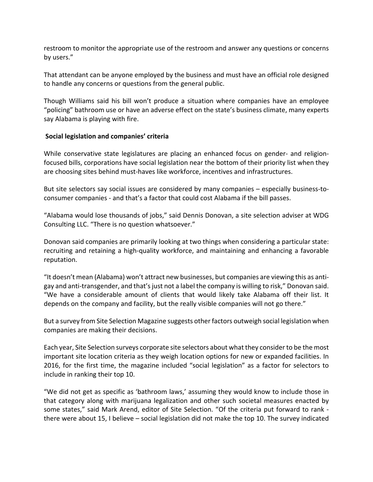restroom to monitor the appropriate use of the restroom and answer any questions or concerns by users."

That attendant can be anyone employed by the business and must have an official role designed to handle any concerns or questions from the general public.

Though Williams said his bill won't produce a situation where companies have an employee "policing" bathroom use or have an adverse effect on the state's business climate, many experts say Alabama is playing with fire.

### **Social legislation and companies' criteria**

While conservative state legislatures are placing an enhanced focus on gender- and religionfocused bills, corporations have social legislation near the bottom of their priority list when they are choosing sites behind must‐haves like workforce, incentives and infrastructures.

But site selectors say social issues are considered by many companies – especially business-toconsumer companies ‐ and that's a factor that could cost Alabama if the bill passes.

"Alabama would lose thousands of jobs," said Dennis Donovan, a site selection adviser at WDG Consulting LLC. "There is no question whatsoever."

Donovan said companies are primarily looking at two things when considering a particular state: recruiting and retaining a high-quality workforce, and maintaining and enhancing a favorable reputation.

"It doesn't mean (Alabama) won't attract new businesses, but companies are viewing this as anti‐ gay and anti-transgender, and that's just not a label the company is willing to risk," Donovan said. "We have a considerable amount of clients that would likely take Alabama off their list. It depends on the company and facility, but the really visible companies will not go there."

But a survey from Site Selection Magazine suggests other factors outweigh social legislation when companies are making their decisions.

Each year, Site Selection surveys corporate site selectors about what they consider to be the most important site location criteria as they weigh location options for new or expanded facilities. In 2016, for the first time, the magazine included "social legislation" as a factor for selectors to include in ranking their top 10.

"We did not get as specific as 'bathroom laws,' assuming they would know to include those in that category along with marijuana legalization and other such societal measures enacted by some states," said Mark Arend, editor of Site Selection. "Of the criteria put forward to rank there were about 15, I believe – social legislation did not make the top 10. The survey indicated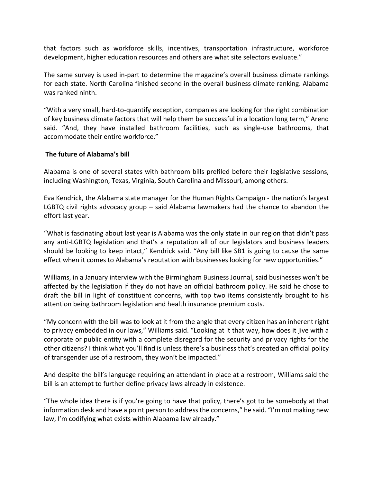that factors such as workforce skills, incentives, transportation infrastructure, workforce development, higher education resources and others are what site selectors evaluate."

The same survey is used in‐part to determine the magazine's overall business climate rankings for each state. North Carolina finished second in the overall business climate ranking. Alabama was ranked ninth.

"With a very small, hard‐to‐quantify exception, companies are looking for the right combination of key business climate factors that will help them be successful in a location long term," Arend said. "And, they have installed bathroom facilities, such as single-use bathrooms, that accommodate their entire workforce."

### **The future of Alabama's bill**

Alabama is one of several states with bathroom bills prefiled before their legislative sessions, including Washington, Texas, Virginia, South Carolina and Missouri, among others.

Eva Kendrick, the Alabama state manager for the Human Rights Campaign ‐ the nation's largest LGBTQ civil rights advocacy group – said Alabama lawmakers had the chance to abandon the effort last year.

"What is fascinating about last year is Alabama was the only state in our region that didn't pass any anti-LGBTQ legislation and that's a reputation all of our legislators and business leaders should be looking to keep intact," Kendrick said. "Any bill like SB1 is going to cause the same effect when it comes to Alabama's reputation with businesses looking for new opportunities."

Williams, in a January interview with the Birmingham Business Journal, said businesses won't be affected by the legislation if they do not have an official bathroom policy. He said he chose to draft the bill in light of constituent concerns, with top two items consistently brought to his attention being bathroom legislation and health insurance premium costs.

"My concern with the bill was to look at it from the angle that every citizen has an inherent right to privacy embedded in our laws," Williams said. "Looking at it that way, how does it jive with a corporate or public entity with a complete disregard for the security and privacy rights for the other citizens? I think what you'll find is unless there's a business that's created an official policy of transgender use of a restroom, they won't be impacted."

And despite the bill's language requiring an attendant in place at a restroom, Williams said the bill is an attempt to further define privacy laws already in existence.

"The whole idea there is if you're going to have that policy, there's got to be somebody at that information desk and have a point person to addressthe concerns," he said. "I'm not making new law, I'm codifying what exists within Alabama law already."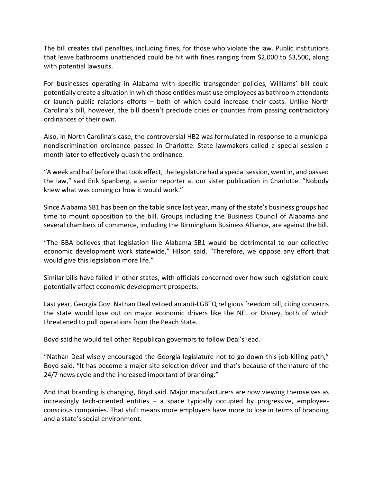The bill creates civil penalties, including fines, for those who violate the law. Public institutions that leave bathrooms unattended could be hit with fines ranging from \$2,000 to \$3,500, along with potential lawsuits.

For businesses operating in Alabama with specific transgender policies, Williams' bill could potentially create a situation in which those entities must use employees as bathroom attendants or launch public relations efforts – both of which could increase their costs. Unlike North Carolina's bill, however, the bill doesn't preclude cities or counties from passing contradictory ordinances of their own.

Also, in North Carolina's case, the controversial HB2 was formulated in response to a municipal nondiscrimination ordinance passed in Charlotte. State lawmakers called a special session a month later to effectively quash the ordinance.

"A week and half before that took effect, the legislature had a specialsession, went in, and passed the law," said Erik Spanberg, a senior reporter at our sister publication in Charlotte. "Nobody knew what was coming or how it would work."

Since Alabama SB1 has been on the table since last year, many of the state's business groups had time to mount opposition to the bill. Groups including the Business Council of Alabama and several chambers of commerce, including the Birmingham Business Alliance, are against the bill.

"The BBA believes that legislation like Alabama SB1 would be detrimental to our collective economic development work statewide," Hilson said. "Therefore, we oppose any effort that would give this legislation more life."

Similar bills have failed in other states, with officials concerned over how such legislation could potentially affect economic development prospects.

Last year, Georgia Gov. Nathan Deal vetoed an anti‐LGBTQ religious freedom bill, citing concerns the state would lose out on major economic drivers like the NFL or Disney, both of which threatened to pull operations from the Peach State.

Boyd said he would tell other Republican governors to follow Deal's lead.

"Nathan Deal wisely encouraged the Georgia legislature not to go down this job‐killing path," Boyd said. "It has become a major site selection driver and that's because of the nature of the 24/7 news cycle and the increased important of branding."

And that branding is changing, Boyd said. Major manufacturers are now viewing themselves as increasingly tech-oriented entities – a space typically occupied by progressive, employeeconscious companies. That shift means more employers have more to lose in terms of branding and a state's social environment.